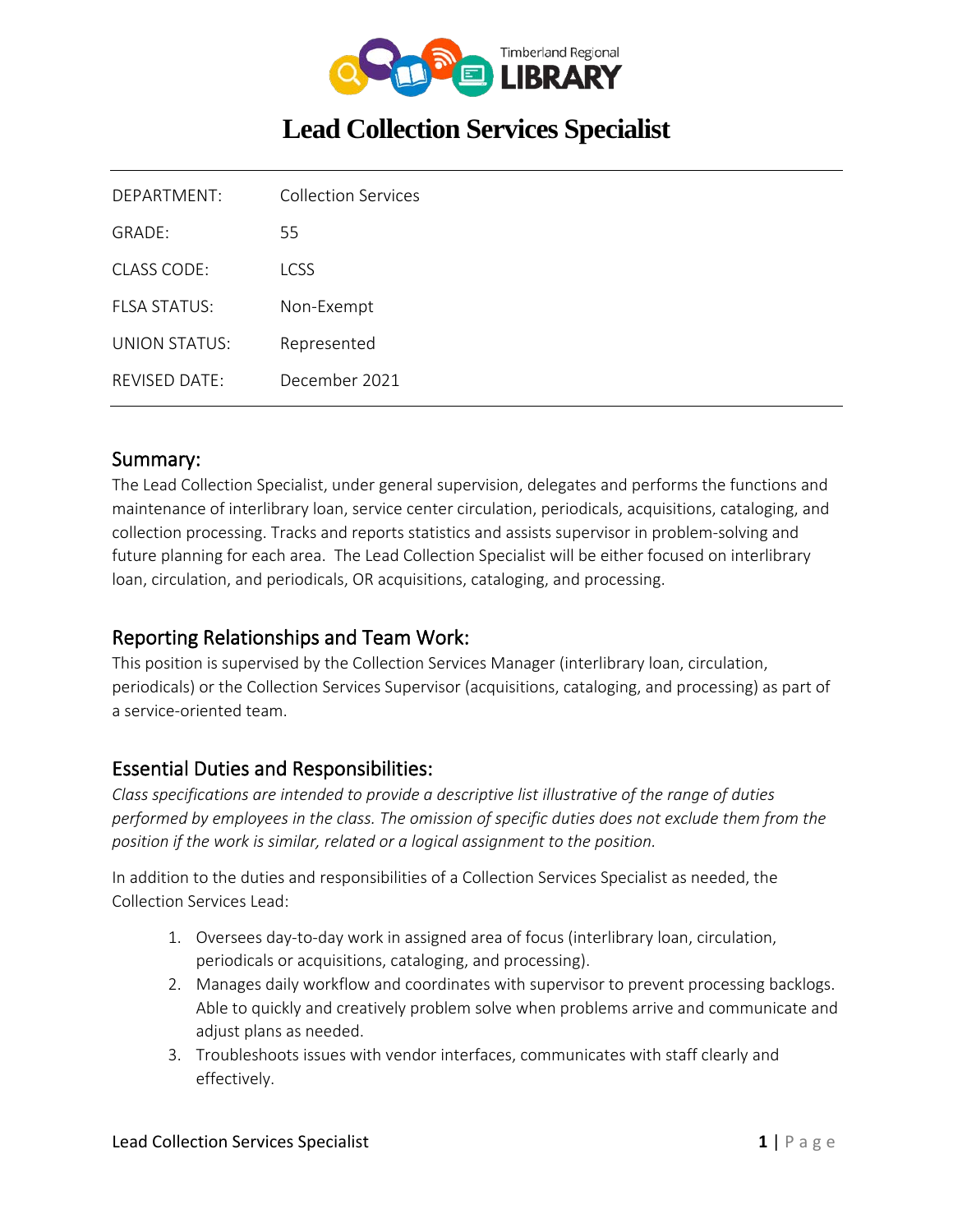

# **Lead Collection Services Specialist**

| DEPARTMENT:   | Collection Services |
|---------------|---------------------|
| $GRADF+$      | 55                  |
| CLASS CODE:   | LCSS                |
| FLSA STATUS:  | Non-Exempt          |
| UNION STATUS: | Represented         |
| REVISED DATE: | December 2021       |

#### Summary:

The Lead Collection Specialist, under general supervision, delegates and performs the functions and maintenance of interlibrary loan, service center circulation, periodicals, acquisitions, cataloging, and collection processing. Tracks and reports statistics and assists supervisor in problem-solving and future planning for each area. The Lead Collection Specialist will be either focused on interlibrary loan, circulation, and periodicals, OR acquisitions, cataloging, and processing.

#### Reporting Relationships and Team Work:

This position is supervised by the Collection Services Manager (interlibrary loan, circulation, periodicals) or the Collection Services Supervisor (acquisitions, cataloging, and processing) as part of a service-oriented team.

## Essential Duties and Responsibilities:

*Class specifications are intended to provide a descriptive list illustrative of the range of duties performed by employees in the class. The omission of specific duties does not exclude them from the position if the work is similar, related or a logical assignment to the position.*

In addition to the duties and responsibilities of a Collection Services Specialist as needed, the Collection Services Lead:

- 1. Oversees day-to-day work in assigned area of focus (interlibrary loan, circulation, periodicals or acquisitions, cataloging, and processing).
- 2. Manages daily workflow and coordinates with supervisor to prevent processing backlogs. Able to quickly and creatively problem solve when problems arrive and communicate and adjust plans as needed.
- 3. Troubleshoots issues with vendor interfaces, communicates with staff clearly and effectively.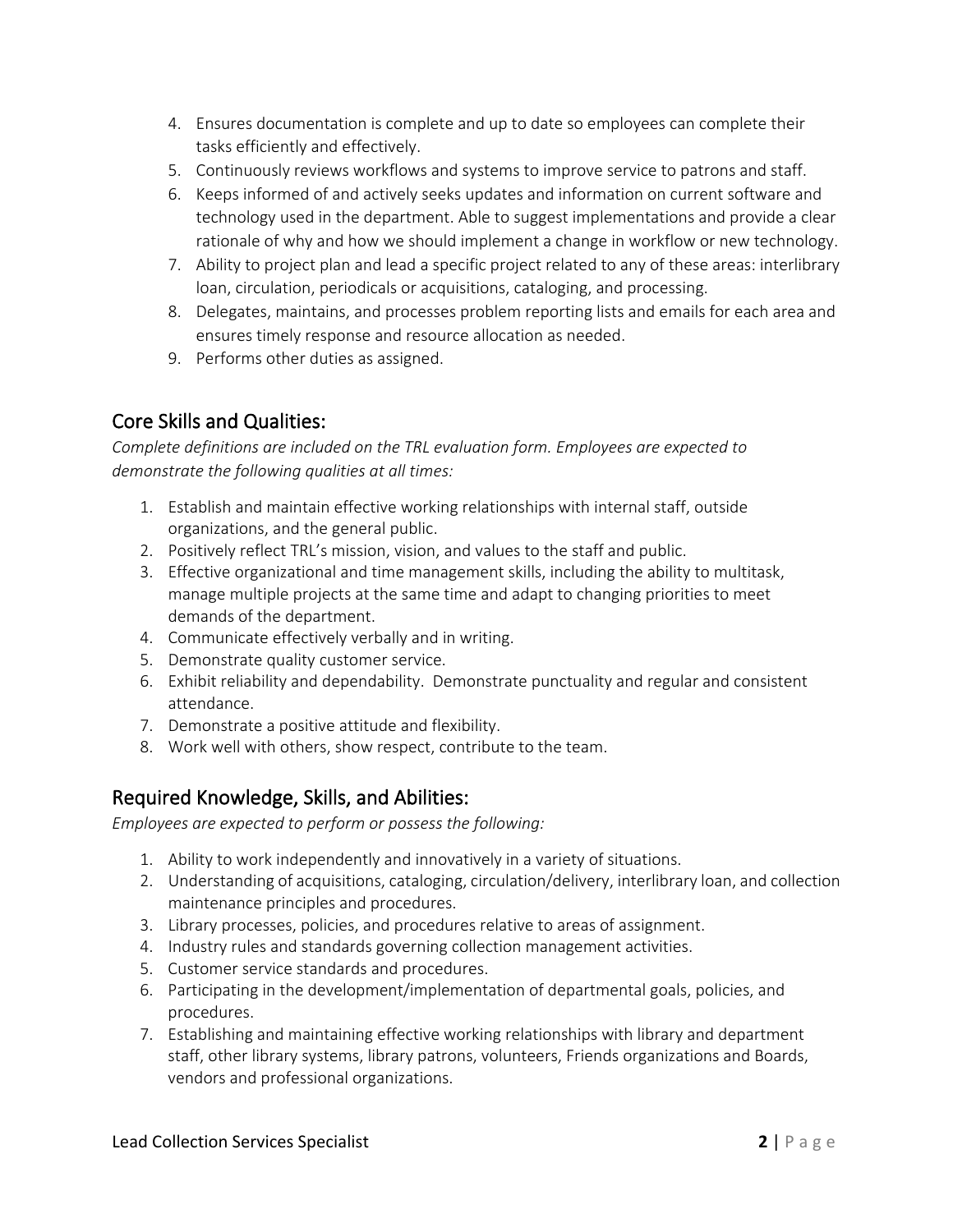- 4. Ensures documentation is complete and up to date so employees can complete their tasks efficiently and effectively.
- 5. Continuously reviews workflows and systems to improve service to patrons and staff.
- 6. Keeps informed of and actively seeks updates and information on current software and technology used in the department. Able to suggest implementations and provide a clear rationale of why and how we should implement a change in workflow or new technology.
- 7. Ability to project plan and lead a specific project related to any of these areas: interlibrary loan, circulation, periodicals or acquisitions, cataloging, and processing.
- 8. Delegates, maintains, and processes problem reporting lists and emails for each area and ensures timely response and resource allocation as needed.
- 9. Performs other duties as assigned.

# Core Skills and Qualities:

*Complete definitions are included on the TRL evaluation form. Employees are expected to demonstrate the following qualities at all times:*

- 1. Establish and maintain effective working relationships with internal staff, outside organizations, and the general public.
- 2. Positively reflect TRL's mission, vision, and values to the staff and public.
- 3. Effective organizational and time management skills, including the ability to multitask, manage multiple projects at the same time and adapt to changing priorities to meet demands of the department.
- 4. Communicate effectively verbally and in writing.
- 5. Demonstrate quality customer service.
- 6. Exhibit reliability and dependability. Demonstrate punctuality and regular and consistent attendance.
- 7. Demonstrate a positive attitude and flexibility.
- 8. Work well with others, show respect, contribute to the team.

# Required Knowledge, Skills, and Abilities:

*Employees are expected to perform or possess the following:*

- 1. Ability to work independently and innovatively in a variety of situations.
- 2. Understanding of acquisitions, cataloging, circulation/delivery, interlibrary loan, and collection maintenance principles and procedures.
- 3. Library processes, policies, and procedures relative to areas of assignment.
- 4. Industry rules and standards governing collection management activities.
- 5. Customer service standards and procedures.
- 6. Participating in the development/implementation of departmental goals, policies, and procedures.
- 7. Establishing and maintaining effective working relationships with library and department staff, other library systems, library patrons, volunteers, Friends organizations and Boards, vendors and professional organizations.